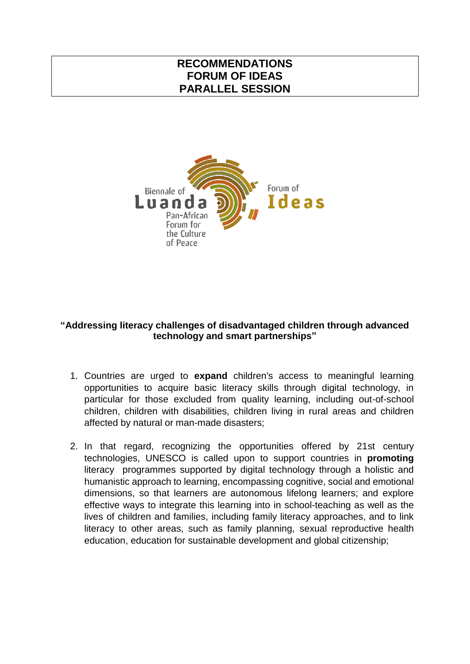## **RECOMMENDATIONS FORUM OF IDEAS PARALLEL SESSION**



## **"Addressing literacy challenges of disadvantaged children through advanced technology and smart partnerships"**

- 1. Countries are urged to **expand** children's access to meaningful learning opportunities to acquire basic literacy skills through digital technology, in particular for those excluded from quality learning, including out-of-school children, children with disabilities, children living in rural areas and children affected by natural or man-made disasters;
- 2. In that regard, recognizing the opportunities offered by 21st century technologies, UNESCO is called upon to support countries in **promoting** literacy programmes supported by digital technology through a holistic and humanistic approach to learning, encompassing cognitive, social and emotional dimensions, so that learners are autonomous lifelong learners; and explore effective ways to integrate this learning into in school-teaching as well as the lives of children and families, including family literacy approaches, and to link literacy to other areas, such as family planning, sexual reproductive health education, education for sustainable development and global citizenship;